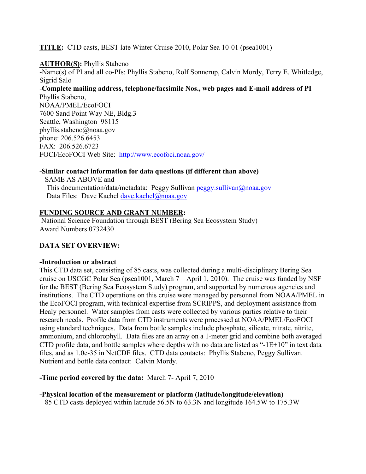**TITLE:** CTD casts, BEST late Winter Cruise 2010, Polar Sea 10-01 (psea1001)

**AUTHOR(S):** Phyllis Stabeno -Name(s) of PI and all co-PIs: Phyllis Stabeno, Rolf Sonnerup, Calvin Mordy, Terry E. Whitledge, Sigrid Salo -**Complete mailing address, telephone/facsimile Nos., web pages and E-mail address of PI** Phyllis Stabeno, NOAA/PMEL/EcoFOCI 7600 Sand Point Way NE, Bldg.3 Seattle, Washington 98115 phyllis.stabeno@noaa.gov phone: 206.526.6453 FAX: 206.526.6723

FOCI/EcoFOCI Web Site: http://www.ecofoci.noaa.gov/

#### **-Similar contact information for data questions (if different than above)**

 SAME AS ABOVE and This documentation/data/metadata: Peggy Sullivan peggy.sullivan@noaa.gov Data Files: Dave Kachel dave.kachel@noaa.gov

#### **FUNDING SOURCE AND GRANT NUMBER:**

National Science Foundation through BEST (Bering Sea Ecosystem Study) Award Numbers 0732430

# **DATA SET OVERVIEW:**

#### **-Introduction or abstract**

This CTD data set, consisting of 85 casts, was collected during a multi-disciplinary Bering Sea cruise on USCGC Polar Sea (psea1001, March 7 – April 1, 2010). The cruise was funded by NSF for the BEST (Bering Sea Ecosystem Study) program, and supported by numerous agencies and institutions. The CTD operations on this cruise were managed by personnel from NOAA/PMEL in the EcoFOCI program, with technical expertise from SCRIPPS, and deployment assistance from Healy personnel. Water samples from casts were collected by various parties relative to their research needs. Profile data from CTD instruments were processed at NOAA/PMEL/EcoFOCI using standard techniques. Data from bottle samples include phosphate, silicate, nitrate, nitrite, ammonium, and chlorophyll. Data files are an array on a 1-meter grid and combine both averaged CTD profile data, and bottle samples where depths with no data are listed as "-1E+10" in text data files, and as 1.0e-35 in NetCDF files. CTD data contacts: Phyllis Stabeno, Peggy Sullivan. Nutrient and bottle data contact: Calvin Mordy.

# **-Time period covered by the data:** March 7- April 7, 2010

**-Physical location of the measurement or platform (latitude/longitude/elevation)** 85 CTD casts deployed within latitude 56.5N to 63.3N and longitude 164.5W to 175.3W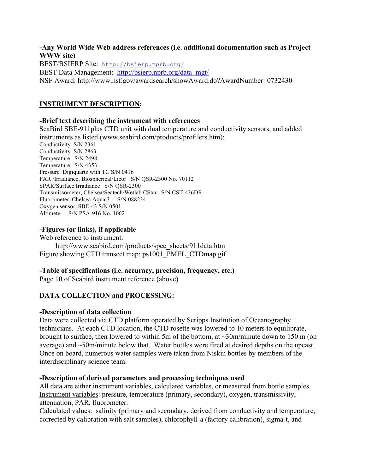#### **-Any World Wide Web address references (i.e. additional documentation such as Project WWW site)**

BEST/BSIERP Site: http://bsierp.nprb.org/ BEST Data Management: http://bsierp.nprb.org/data\_mgt/ NSF Award: http://www.nsf.gov/awardsearch/showAward.do?AwardNumber=0732430

# **INSTRUMENT DESCRIPTION:**

# **-Brief text describing the instrument with references**

SeaBird SBE-911plus CTD unit with dual temperature and conductivity sensors, and added instruments as listed (www.seabird.com/products/profilers.htm): Conductivity S/N 2361 Conductivity S/N 2863 Temperature S/N 2498 Temperature S/N 4353 Pressure Digiquartz with TC S/N 0416 PAR /Irradiance, Biospherical/Licor S/N QSR-2300 No. 70112 SPAR/Surface Irradiance S/N QSR-2300 Transmissometer, Chelsea/Seatech/Wetlab CStar S/N CST-436DR Fluorometer, Chelsea Aqua 3 S/N 088234 Oxygen sensor, SBE-43 S/N 0501 Altimeter S/N PSA-916 No. 1062

# **-Figures (or links), if applicable**

Web reference to instrument: http://www.seabird.com/products/spec\_sheets/911data.htm Figure showing CTD transect map: ps1001 PMEL\_CTDmap.gif

# **-Table of specifications (i.e. accuracy, precision, frequency, etc.)**

Page 10 of Seabird instrument reference (above)

# **DATA COLLECTION and PROCESSING:**

# **-Description of data collection**

Data were collected via CTD platform operated by Scripps Institution of Oceanography technicians. At each CTD location, the CTD rosette was lowered to 10 meters to equilibrate, brought to surface, then lowered to within 5m of the bottom, at ~30m/minute down to 150 m (on average) and ~50m/minute below that. Water bottles were fired at desired depths on the upcast. Once on board, numerous water samples were taken from Niskin bottles by members of the interdisciplinary science team.

# **-Description of derived parameters and processing techniques used**

All data are either instrument variables, calculated variables, or measured from bottle samples. Instrument variables: pressure, temperature (primary, secondary), oxygen, transmissivity, attenuation, PAR, fluorometer.

Calculated values: salinity (primary and secondary, derived from conductivity and temperature, corrected by calibration with salt samples), chlorophyll-a (factory calibration), sigma-t, and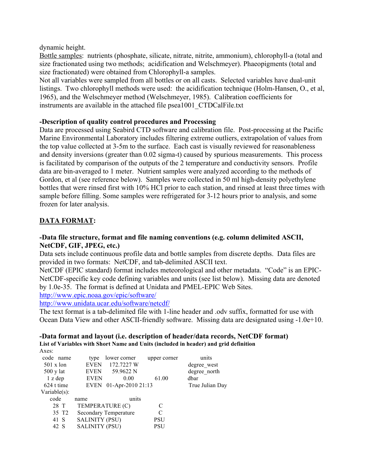dynamic height.

Bottle samples: nutrients (phosphate, silicate, nitrate, nitrite, ammonium), chlorophyll-a (total and size fractionated using two methods; acidification and Welschmeyer). Phaeopigments (total and size fractionated) were obtained from Chlorophyll-a samples.

Not all variables were sampled from all bottles or on all casts. Selected variables have dual-unit listings. Two chlorophyll methods were used: the acidification technique (Holm-Hansen, O., et al, 1965), and the Welschmeyer method (Welschmeyer, 1985). Calibration coefficients for instruments are available in the attached file psea1001\_CTDCalFile.txt

# **-Description of quality control procedures and Processing**

Data are processed using Seabird CTD software and calibration file. Post-processing at the Pacific Marine Environmental Laboratory includes filtering extreme outliers, extrapolation of values from the top value collected at 3-5m to the surface. Each cast is visually reviewed for reasonableness and density inversions (greater than 0.02 sigma-t) caused by spurious measurements. This process is facilitated by comparison of the outputs of the 2 temperature and conductivity sensors. Profile data are bin-averaged to 1 meter. Nutrient samples were analyzed according to the methods of Gordon, et al (see reference below). Samples were collected in 50 ml high-density polyethylene bottles that were rinsed first with 10% HCl prior to each station, and rinsed at least three times with sample before filling. Some samples were refrigerated for 3-12 hours prior to analysis, and some frozen for later analysis.

# **DATA FORMAT:**

# **-Data file structure, format and file naming conventions (e.g. column delimited ASCII, NetCDF, GIF, JPEG, etc.)**

Data sets include continuous profile data and bottle samples from discrete depths. Data files are provided in two formats: NetCDF, and tab-delimited ASCII text.

NetCDF (EPIC standard) format includes meteorological and other metadata. "Code" is an EPIC-NetCDF-specific key code defining variables and units (see list below). Missing data are denoted by 1.0e-35. The format is defined at Unidata and PMEL-EPIC Web Sites.

http://www.epic.noaa.gov/epic/software/

http://www.unidata.ucar.edu/software/netcdf/

The text format is a tab-delimited file with 1-line header and .odv suffix, formatted for use with Ocean Data View and other ASCII-friendly software. Missing data are designated using -1.0e+10.

#### **-Data format and layout (i.e. description of header/data records, NetCDF format) List of Variables with Short Name and Units (included in header) and grid definition**  $\mathbf{A}$

| Axes.               |                       |                              |              |                 |
|---------------------|-----------------------|------------------------------|--------------|-----------------|
| code<br>name        | type                  | lower corner                 | upper corner | units           |
| $501 \times$ lon    | <b>EVEN</b>           | 172.7227 W                   |              | degree west     |
| $500 \text{ y}$ lat | <b>EVEN</b>           | 59.9622 N                    |              | degree north    |
| $1$ z dep           | <b>EVEN</b>           | 0.00                         | 61.00        | dbar            |
| 624 t time          | EVEN                  | $01-Apr-201021:13$           |              | True Julian Day |
| Variable $(s)$ :    |                       |                              |              |                 |
| code                | name                  | units                        |              |                 |
| 28 T                | TEMPERATURE (C)       |                              | C            |                 |
| 35 T <sub>2</sub>   |                       | <b>Secondary Temperature</b> | C            |                 |
| 41 S                | <b>SALINITY (PSU)</b> |                              | PSU          |                 |
| 42 S                | <b>SALINITY (PSU)</b> |                              | PSU          |                 |
|                     |                       |                              |              |                 |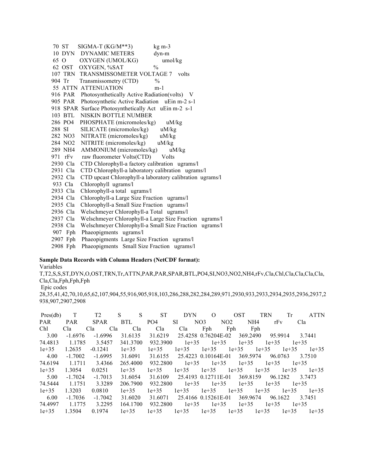| 70 ST     | $SIGMA-T (KG/M**3)$<br>$kg m-3$                          |  |
|-----------|----------------------------------------------------------|--|
|           | 10 DYN DYNAMIC METERS<br>dyn-m                           |  |
| 65 O      | OXYGEN (UMOL/KG)<br>umol/kg                              |  |
|           | $\frac{0}{0}$<br>62 OST OXYGEN, %SAT                     |  |
|           | 107 TRN TRANSMISSOMETER VOLTAGE 7 volts                  |  |
| 904 Tr    | Transmissometry (CTD)<br>$\frac{0}{0}$                   |  |
|           | 55 ATTN ATTENUATION<br>$m-1$                             |  |
| 916 PAR   | Photosynthetically Active Radiation(volts) V             |  |
| 905 PAR   | Photosynthetic Active Radiation uEin m-2 s-1             |  |
|           | 918 SPAR Surface Photosynthetically Act uEin m-2 s-1     |  |
| 103 BTL   | NISKIN BOTTLE NUMBER                                     |  |
| 286 PO4   | PHOSPHATE (micromoles/kg)<br>uM/kg                       |  |
| 288 SI    | SILICATE (micromoles/kg)<br>uM/kg                        |  |
| 282 NO3   | NITRATE (micromoles/kg)<br>uM/kg                         |  |
| 284 NO2   | NITRITE (micromoles/kg)<br>uM/kg                         |  |
| 289 NH4   | AMMONIUM (micromoles/kg)<br>uM/kg                        |  |
| 971 $rFv$ | raw fluorometer Volts(CTD) Volts                         |  |
| 2930 Cla  | CTD Chlorophyll-a factory calibration ugrams/l           |  |
| 2931 Cla  | CTD Chlorophyll-a laboratory calibration ugrams/l        |  |
| 2932 Cla  | CTD upcast Chlorophyll-a laboratory calibration ugrams/l |  |
| 933 Cla   | Chlorophyll ugrams/l                                     |  |
| 2933 Cla  | Chlorophyll-a total ugrams/l                             |  |
| 2934 Cla  | Chlorophyll-a Large Size Fraction ugrams/l               |  |
| 2935 Cla  | Chlorophyll-a Small Size Fraction ugrams/l               |  |
| 2936 Cla  | Welschmeyer Chlorophyll-a Total ugrams/l                 |  |
| 2937 Cla  | Welschmeyer Chlorophyll-a Large Size Fraction ugrams/l   |  |
| 2938 Cla  | Welschmeyer Chlorophyll-a Small Size Fraction ugrams/l   |  |
| 907 Fph   | Phaeopigments ugrams/l                                   |  |
| 2907 Fph  | Phaeopigments Large Size Fraction ugrams/l               |  |
| 2908 Fph  | Phaeopigments Small Size Fraction ugrams/l               |  |

#### **Sample Data Records with Column Headers (NetCDF format):**

Variables

T,T2,S,S,ST,DYN,O,OST,TRN,Tr,ATTN,PAR,PAR,SPAR,BTL,PO4,SI,NO3,NO2,NH4,rFv,Cla,Chl,Cla,Cla,Cla,Cla, Cla,Cla,Fph,Fph,Fph Epic codes 28,35,41,42,70,10,65,62,107,904,55,916,905,918,103,286,288,282,284,289,971,2930,933,2933,2934,2935,2936,2937,2 938,907,2907,2908

| Pres(db)   | T          | T <sub>2</sub> | S<br>S     | <b>ST</b>       | <b>DYN</b> | $\Omega$               | <b>OST</b>      | <b>TRN</b> | Tr<br><b>ATTN</b>  |
|------------|------------|----------------|------------|-----------------|------------|------------------------|-----------------|------------|--------------------|
| <b>PAR</b> | <b>PAR</b> | <b>SPAR</b>    | <b>BTL</b> | PO <sub>4</sub> | <b>SI</b>  | NO <sub>3</sub><br>NO2 | NH <sub>4</sub> | rFv        | Cla                |
| Chl        | Cla        | Cla<br>Cla     | Cla        | Cla             | Cla        | Fph                    | Fph<br>Fph      |            |                    |
| 3.00       | $-1.6976$  | $-1.6996$      | 31.6135    | 31.6219         |            | 25.4258 0.76204E-02    | 369.2490        | 95.9914    | 3 7441             |
| 74.4813    | 1.1785     | 3.5457         | 341.3700   | 932.3900        | $1e+35$    | $1e+35$                | $1e+35$         | $1e+35$    | $1e+35$            |
| $1e+35$    | 1.2635     | $-0.1241$      | $1e+35$    | $1e+35$         | $1e+35$    | $1e+35$                | $1e+35$         | $1e+35$    | $1e+35$<br>$1e+35$ |
| 4.00       | $-1.7002$  | $-1.6995$      | 31.6091    | 31.6155         |            | 25.4223 0.10164E-01    | 369.5974        | 96.0763    | 3 7 5 1 0          |
| 74.6194    | 1.1711     | 3.4366         | 265.4000   | 932.2800        | $1e+35$    | $1e+35$                | $1e+35$         | $1e+35$    | $1e+35$            |
| $1e+35$    | 1.3054     | 0.0251         | $1e+35$    | $1e+35$         | $1e+35$    | $1e+35$                | $1e+35$         | $1e+35$    | $1e+35$<br>$1e+35$ |
| 5.00       | $-1.7024$  | $-1.7013$      | 31.6054    | 31.6109         |            | 25.4193 0.12711E-01    | 369.8159        | 96.1282    | 3 7473             |
| 74.5444    | 1.1751     | 3.3289         | 206.7900   | 932.2800        | $1e+35$    | $1e+35$                | $1e+35$         | $1e+35$    | $1e+35$            |
| $1e+35$    | 1.3203     | 0.0810         | $1e+35$    | $1e+35$         | $1e+35$    | $1e+35$                | $1e+35$         | $1e+35$    | $1e+35$<br>$1e+35$ |
| 6.00       | $-1.7036$  | $-1.7042$      | 31.6020    | 31.6071         |            | 25.4166 0.15261E-01    | 369.9674        | 96.1622    | 3 7451             |
| 74.4997    | 1.1775     | 3.2295         | 164.1700   | 932.2800        | $1e+35$    | $1e+35$                | $1e+35$         | $1e+35$    | $1e+35$            |
| $1e+35$    | 1.3504     | 0.1974         | $1e+35$    | $1e+35$         | $1e+35$    | $1e+35$                | $1e+35$         | $1e+35$    | $1e+35$<br>$1e+35$ |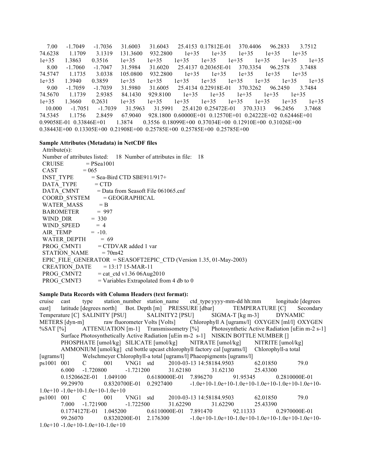7.00 -1.7049 -1.7036 31.6003 31.6043 25.4153 0.17812E-01 370.4406 96.2833 3.7512 74.6238 1.1709 3.1319 131.3600 932.2800 1e+35 1e+35 1e+35 1e+35 1e+35 1e+35 1.3863 0.3516 1e+35 1e+35 1e+35 1e+35 1e+35 1e+35 1e+35 1e+35 8.00 -1.7060 -1.7047 31.5984 31.6020 25.4137 0.20365E-01 370.3354 96.2578 3.7488 74.5747 1.1735 3.0338 105.0800 932.2800 1e+35 1e+35 1e+35 1e+35 1e+35 1e+35 1.3940 0.3859 1e+35 1e+35 1e+35 1e+35 1e+35 1e+35 1e+35 1e+35 9.00 -1.7059 -1.7039 31.5980 31.6005 25.4134 0.22918E-01 370.3262 96.2450 3.7484 74.5670 1.1739 2.9385 84.1430 929.8100 1e+35 1e+35 1e+35 1e+35 1e+35 1e+35 1.3660 0.2631 1e+35 1e+35 1e+35 1e+35 1e+35 1e+35 1e+35 1e+35 10.000 -1.7051 -1.7039 31.5963 31.5991 25.4120 0.25472E-01 370.3313 96.2456 3.7468 74.5345 1.1756 2.8459 67.9040 928.1800 0.60000E+01 0.12570E+01 0.24222E+02 0.62446E+01 0.99058E-01 0.33846E+01 1.3874 0.3556 0.18099E+00 0.37034E+00 0.12910E+00 0.31026E+00 0.38443E+00 0.13305E+00 0.21908E+00 0.25785E+00 0.25785E+00 0.25785E+00

#### **Sample Attributes (Metadata) in NetCDF files**

| $Attribute(s)$ :                                                   |  |  |  |  |  |  |  |
|--------------------------------------------------------------------|--|--|--|--|--|--|--|
| Number of attributes listed: 18 Number of attributes in file: 18   |  |  |  |  |  |  |  |
| CRUISE $= P$ Sea1001                                               |  |  |  |  |  |  |  |
| $CAST = 065$                                                       |  |  |  |  |  |  |  |
| $INST_TYPE$ = Sea-Bird CTD SBE911/917+                             |  |  |  |  |  |  |  |
| $DATA_TYPE = CTD$                                                  |  |  |  |  |  |  |  |
| DATA CMNT = Data from Seasoft File 061065.cnf                      |  |  |  |  |  |  |  |
| $COORD$ SYSTEM $= GEOGRAPHICAL$                                    |  |  |  |  |  |  |  |
| WATER MASS $= B$                                                   |  |  |  |  |  |  |  |
| BAROMETER = $997$                                                  |  |  |  |  |  |  |  |
| WIND_DIR = 330<br>WIND_SPEED = 4                                   |  |  |  |  |  |  |  |
|                                                                    |  |  |  |  |  |  |  |
| AIR TEMP $= -10$ .                                                 |  |  |  |  |  |  |  |
| WATER DEPTH $= 69$                                                 |  |  |  |  |  |  |  |
| PROG CMNT1 = CTDVAR added 1 var                                    |  |  |  |  |  |  |  |
| STATION NAME $= 70m42$                                             |  |  |  |  |  |  |  |
| EPIC FILE GENERATOR = SEASOFT2EPIC CTD (Version 1.35, 01-May-2003) |  |  |  |  |  |  |  |
| CREATION DATE $= 13:17 15-MAR-11$                                  |  |  |  |  |  |  |  |
| $PROG_C MNT2$ = cat_ctd v1.36 06Aug2010                            |  |  |  |  |  |  |  |
| PROG CMNT3<br>$=$ Variables Extrapolated from 4 db to 0            |  |  |  |  |  |  |  |

#### **Sample Data Records with Column Headers (text format):**

cruise cast type station number station name ctd type yyyy-mm-dd hh:mm longitude [degrees east] latitude [degrees north] Bot. Depth [m] PRESSURE [dbar] TEMPERATURE [C] Secondary Temperature [C] SALINITY [PSU] SALINITY2 [PSU] SIGMA-T [kg m-3] DYNAMIC METERS [dyn-m] raw fluorometer Volts [Volts] Chlorophyll A [ugrams/l] OXYGEN [ml/l] OXYGEN %SAT [%] ATTENUATION [m-1] Transmissometry [%] Photosynthetic Active Radiation [uEin m-2 s-1] Surface Photosynthetically Active Radiation [uEin m-2 s-1] NISKIN BOTTLE NUMBER [] PHOSPHATE [umol/kg] SILICATE [umol/kg] NITRATE [umol/kg] NITRITE [umol/kg] AMMONIUM [umol/kg] ctd bottle upcast chlorophyll factory cal [ugrams/l] Chlorophyll-a total [ugrams/l] Welschmeyer Chlorophyll-a total [ugrams/l] Phaeopigments [ugrams/l] ps1001 001 C 001 VNG1 std 2010-03-13 14:58184.9503 62.01850 79.0 6.000 -1.720800 -1.721200 31.62180 31.62130 25.43300 0.1520662E-01 1.049100 0.6180000E-01 7.896270 91.95345 0.2810000E-01 99.29970 0.8320700E-01 0.2927400 -1.0e+10-1.0e+10-1.0e+10-1.0e+10-1.0e+10-1.0e+10- 1.0e+10 -1.0e+10-1.0e+10-1.0e+10 ps1001 001 C 001 VNG1 std 2010-03-13 14:58184.9503 62.01850 79.0 7.000 -1.721900 -1.722500 31.62290 31.62290 25.43390 0.1774127E-01 1.045200 0.6110000E-01 7.891470 92.11333 0.2970000E-01 99.26070 0.8320200E-01 2.176300 -1.0e+10-1.0e+10-1.0e+10-1.0e+10-1.0e+10-1.0e+10- 1.0e+10 -1.0e+10-1.0e+10-1.0e+10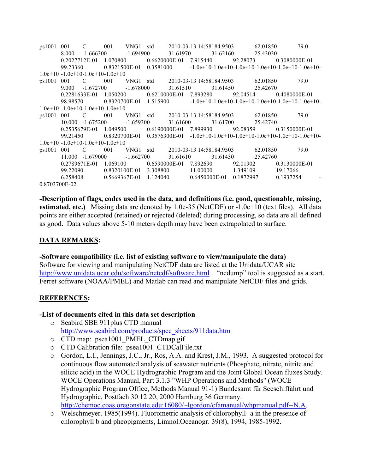| ps1001                              | 001                                              | $\mathcal{C}$                                    | 001 VNG1 std                             |  |  |                   |          |               | 2010-03-13 14:58184.9503 62.01850                        | 79.0                                                                                                                                                                                                                           |
|-------------------------------------|--------------------------------------------------|--------------------------------------------------|------------------------------------------|--|--|-------------------|----------|---------------|----------------------------------------------------------|--------------------------------------------------------------------------------------------------------------------------------------------------------------------------------------------------------------------------------|
|                                     | 8.000                                            |                                                  | $-1.666300$ $-1.694900$                  |  |  |                   |          |               | 31.61970 31.62160 25.43030                               |                                                                                                                                                                                                                                |
|                                     |                                                  |                                                  |                                          |  |  |                   |          |               |                                                          | $0.2027712E-01$ $1.070800$ $0.6620000E-01$ $7.915440$ $92.28073$ $0.3080000E-01$                                                                                                                                               |
|                                     | 99.23360                                         |                                                  |                                          |  |  |                   |          |               |                                                          | $0.8321500E-01$ $0.3581000$ $-1.0e+10-1.0e+10-1.0e+10-1.0e+10-1.0e+10-1.0e+10-1.0e+10-1.0e+10-1.0e+10-1.0e+10-1.0e+10-1.0e+10-1.0e+10-1.0e+10-1.0e+10-1.0e+10-1.0e+10-1.0e+10-1.0e+10-1.0e+10-1.0e+10-1.0e+10-1.0e+10-1.0e+10$ |
| $1.0e+10 - 1.0e+10-1.0e+10-1.0e+10$ |                                                  |                                                  |                                          |  |  |                   |          |               |                                                          |                                                                                                                                                                                                                                |
| ps1001                              | 001 C                                            |                                                  |                                          |  |  |                   |          |               | 001 VNG1 std 2010-03-13 14:58184.9503 62.01850           | 79.0                                                                                                                                                                                                                           |
|                                     | 9.000                                            |                                                  |                                          |  |  |                   |          |               | $-1.672700$ $-1.678000$ $31.61510$ $31.61450$ $25.42670$ |                                                                                                                                                                                                                                |
|                                     |                                                  |                                                  |                                          |  |  |                   |          |               |                                                          | $0.2281633E-01$ $1.050200$ $0.6210000E-01$ $7.893280$ $92.04514$ $0.4080000E-01$                                                                                                                                               |
|                                     | 98.98570                                         |                                                  |                                          |  |  |                   |          |               |                                                          | $0.8320700E-01$ $1.515900$ $-1.0e+10-1.0e+10-1.0e+10-1.0e+10-1.0e+10-1.0e+10-1.0e+10-1.0e+10-1.0e+10-1.0e+10-1.0e+10-1.0e+10-1.0e+10-1.0e+10-1.0e+10-1.0e+10-1.0e+10-1.0e+10-1.0e+10-1.0e+10-1.0e+10-1.0e+10-1.0e+10-1.0e+10-$ |
|                                     |                                                  | $1.0e+10 - 1.0e+10-1.0e+10-1.0e+10$              |                                          |  |  |                   |          |               |                                                          |                                                                                                                                                                                                                                |
| ps1001                              | 001                                              | C                                                |                                          |  |  |                   |          |               | 001 VNG1 std 2010-03-13 14:58184.9503 62.01850           | 79.0                                                                                                                                                                                                                           |
|                                     |                                                  |                                                  |                                          |  |  |                   |          |               | 10.000 -1.675200 -1.659300 31.61600 31.61700 25.42740    |                                                                                                                                                                                                                                |
|                                     |                                                  | 0.2535679E-01  1.049500  0.6190000E-01  7.899930 |                                          |  |  |                   |          |               |                                                          | 92.08359 0.3150000E-01                                                                                                                                                                                                         |
|                                     | 99.21450                                         |                                                  |                                          |  |  |                   |          |               |                                                          | $0.8320700E-01$ $0.3576300E-01$ $-1.0e+10-1.0e+10-1.0e+10-1.0e+10-1.0e+10-1.0e+10-1.0e+10-1.0e+10-1.0e+10-1.0e+10-1.0e+10-1.0e+10-1.0e+10-1.0e+10-1.0e+10-1.0e+10-1.0e+10-1.0e+10-1.0e+10-1.0e+10-1.0e+10-1.0e+10-1.0e+10-1.0$ |
| $1.0e+10 - 1.0e+10-1.0e+10-1.0e+10$ |                                                  |                                                  |                                          |  |  |                   |          |               |                                                          |                                                                                                                                                                                                                                |
| ps1001                              | 001                                              | C                                                |                                          |  |  |                   |          |               | 001 VNG1 std 2010-03-13 14:58184.9503 62.01850           | 79.0                                                                                                                                                                                                                           |
|                                     | $11.000 - 1.679000$<br>$-1.662700$               |                                                  |                                          |  |  | 31.61610 31.61430 | 25.42760 |               |                                                          |                                                                                                                                                                                                                                |
|                                     | 0.2789671E-01<br>1.069100 0.6590000E-01 7.892690 |                                                  |                                          |  |  |                   | 92.01902 | 0.3130000E-01 |                                                          |                                                                                                                                                                                                                                |
|                                     |                                                  |                                                  | 99.22090 0.8320100E-01 3.308800 11.00000 |  |  |                   |          |               | 1.349109                                                 | 19.17066                                                                                                                                                                                                                       |
|                                     | 6.258408                                         |                                                  |                                          |  |  |                   |          |               | $0.5669367E-01$ $1.124040$ $0.6450000E-01$ $0.1872997$   | 0.1937254                                                                                                                                                                                                                      |
| 0.8703700E-02                       |                                                  |                                                  |                                          |  |  |                   |          |               |                                                          |                                                                                                                                                                                                                                |

**-Description of flags, codes used in the data, and definitions (i.e. good, questionable, missing, estimated, etc.)** Missing data are denoted by 1.0e-35 (NetCDF) or -1.0e+10 (text files). All data points are either accepted (retained) or rejected (deleted) during processing, so data are all defined as good. Data values above 5-10 meters depth may have been extrapolated to surface.

# **DATA REMARKS:**

# **-Software compatibility (i.e. list of existing software to view/manipulate the data)**

Software for viewing and manipulating NetCDF data are listed at the Unidata/UCAR site http://www.unidata.ucar.edu/software/netcdf/software.html . "ncdump" tool is suggested as a start. Ferret software (NOAA/PMEL) and Matlab can read and manipulate NetCDF files and grids.

# **REFERENCES:**

# **-List of documents cited in this data set description**

- o Seabird SBE 911plus CTD manual http://www.seabird.com/products/spec\_sheets/911data.htm
- o CTD map: psea1001\_PMEL\_CTDmap.gif
- o CTD Calibration file: psea1001\_CTDCalFile.txt
- o Gordon, L.I., Jennings, J.C., Jr., Ros, A.A. and Krest, J.M., 1993. A suggested protocol for continuous flow automated analysis of seawater nutrients (Phosphate, nitrate, nitrite and silicic acid) in the WOCE Hydrographic Program and the Joint Global Ocean fluxes Study. WOCE Operations Manual, Part 3.1.3 "WHP Operations and Methods" (WOCE Hydrographic Program Office, Methods Manual 91-1) Bundesamt für Seeschiffahrt und Hydrographie, Postfach 30 12 20, 2000 Hamburg 36 Germany. http://chemoc.coas.oregonstate.edu:16080/~lgordon/cfamanual/whpmanual.pdf--N.A.
- o Welschmeyer. 1985(1994). Fluorometric analysis of chlorophyll- a in the presence of chlorophyll b and pheopigments, Limnol.Oceanogr. 39(8), 1994, 1985-1992.